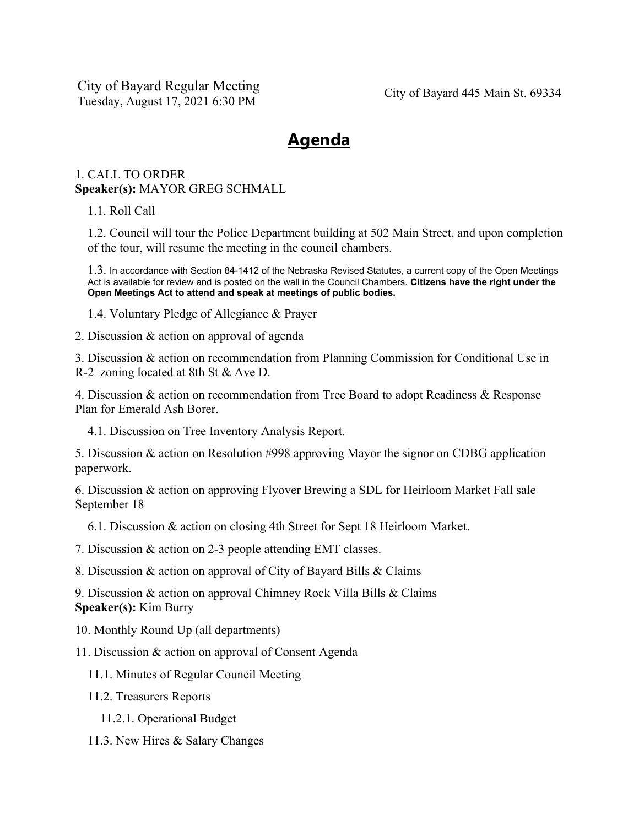City of Bayard Regular Meeting Tuesday, August 17, 2021 6:30 PM City of Bayard 445 Main St. 69334

# **Agenda**

## 1. CALL TO ORDER **Speaker(s):** MAYOR GREG SCHMALL

1.1. Roll Call

1.2. Council will tour the Police Department building at 502 Main Street, and upon completion of the tour, will resume the meeting in the council chambers.

1.3. In accordance with Section 84-1412 of the Nebraska Revised Statutes, a current copy of the Open Meetings Act is available for review and is posted on the wall in the Council Chambers. **Citizens have the right under the Open Meetings Act to attend and speak at meetings of public bodies.**

1.4. Voluntary Pledge of Allegiance & Prayer

2. Discussion & action on approval of agenda

3. Discussion & action on recommendation from Planning Commission for Conditional Use in R-2 zoning located at 8th St & Ave D.

4. Discussion & action on recommendation from Tree Board to adopt Readiness & Response Plan for Emerald Ash Borer.

4.1. Discussion on Tree Inventory Analysis Report.

5. Discussion & action on Resolution #998 approving Mayor the signor on CDBG application paperwork.

6. Discussion & action on approving Flyover Brewing a SDL for Heirloom Market Fall sale September 18

6.1. Discussion & action on closing 4th Street for Sept 18 Heirloom Market.

7. Discussion & action on 2-3 people attending EMT classes.

8. Discussion & action on approval of City of Bayard Bills & Claims

9. Discussion & action on approval Chimney Rock Villa Bills & Claims **Speaker(s):** Kim Burry

10. Monthly Round Up (all departments)

11. Discussion & action on approval of Consent Agenda

11.1. Minutes of Regular Council Meeting

11.2. Treasurers Reports

11.2.1. Operational Budget

11.3. New Hires & Salary Changes